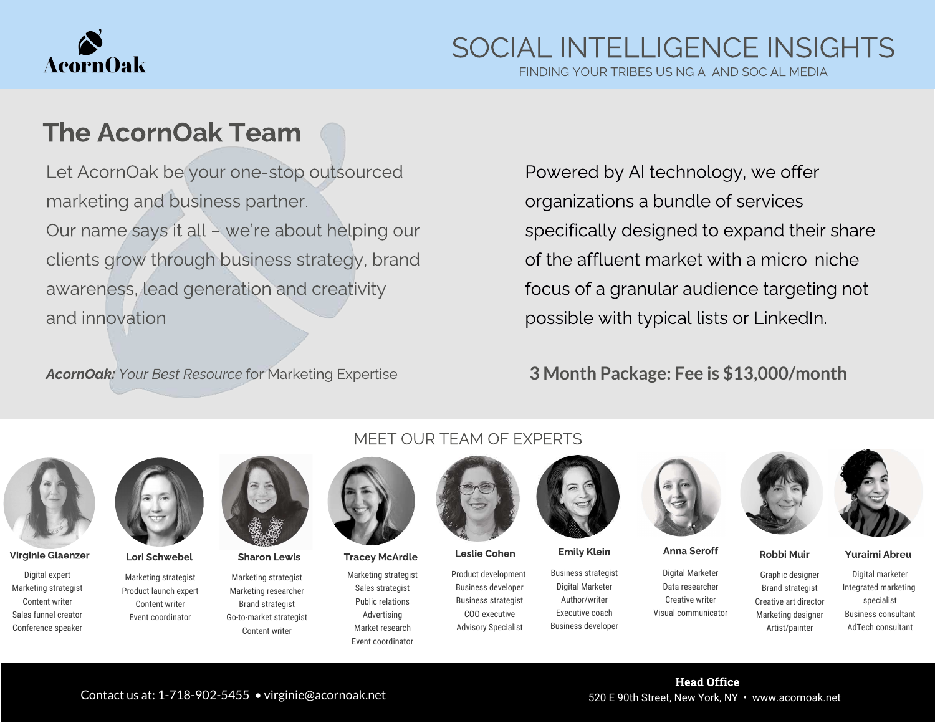

FINDING YOUR TRIBES USING AI AND SOCIAL MEDIA

## The AcornOak Team

Let AcornOak be your one-stop outsourced marketing and business partner. Our name says it all – we're about helping our clients grow through business strategy, brand awareness, lead generation and creativity and innovation.

AcornOak: Your Best Resource for Marketing Expertise

Powered by AI technology, we offer organizations a bundle of services specifically designed to expand their share of the affluent market with a micro-niche focus of a granular audience targeting not possible with typical lists or LinkedIn.

## **3 Month Package: Fee is \$13,000/month**



Virginie Glaenzer Lori Schwebel Sharon Lewis Tracey McArdle Leslie Cohen Emily Klein Anna Seroff Robbi Muir Yuraimi Abreu

Digital expert Marketing strategist Content writer Sales funnel creator Conference speaker



Marketing strategist Product launch expert Content writer Event coordinator

Marketing strategist Marketing researcher Brand strategist Go-to-market strategist Content writer



Marketing strategist Sales strategist Public relations Advertising Market research Event coordinator



Product development Business developer Business strategist COO executive Advisory Specialist



Business strategist Digital Marketer Author/writer Executive coach Business developer



Digital Marketer Data researcher Creative writer Visual communicator





Graphic designer Brand strategist Creative art director Marketing designer Artist/painter

Digital marketer Integrated marketing specialist Business consultant AdTech consultant